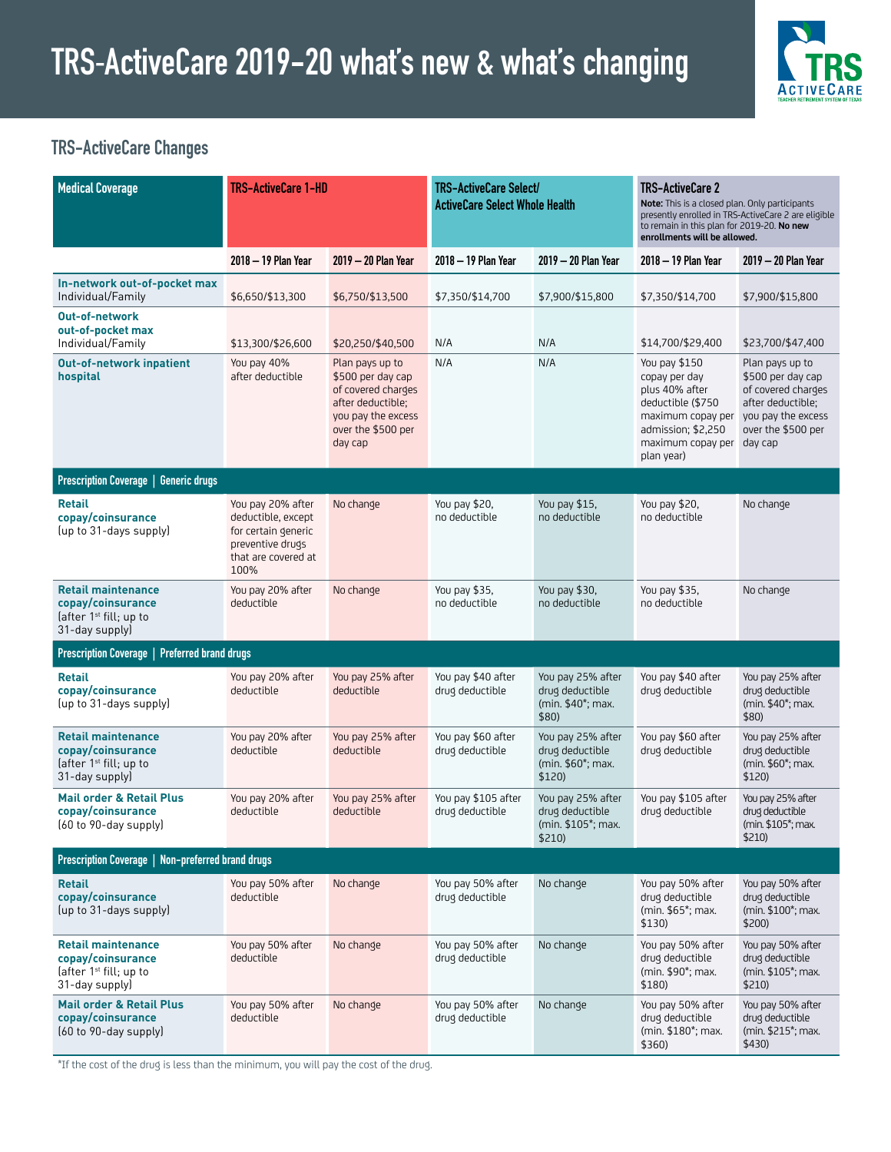

### **TRS-ActiveCare Changes**

| <b>Medical Coverage</b>                                                                                | <b>TRS-ActiveCare 1-HD</b>                                                                                        |                                                                                                                                        | TRS-ActiveCare Select/<br><b>ActiveCare Select Whole Health</b> |                                                                                 | <b>TRS-ActiveCare 2</b><br>Note: This is a closed plan. Only participants<br>presently enrolled in TRS-ActiveCare 2 are eligible<br>to remain in this plan for 2019-20. No new<br>enrollments will be allowed. |                                                                                                                                        |
|--------------------------------------------------------------------------------------------------------|-------------------------------------------------------------------------------------------------------------------|----------------------------------------------------------------------------------------------------------------------------------------|-----------------------------------------------------------------|---------------------------------------------------------------------------------|----------------------------------------------------------------------------------------------------------------------------------------------------------------------------------------------------------------|----------------------------------------------------------------------------------------------------------------------------------------|
|                                                                                                        | 2018 - 19 Plan Year                                                                                               | 2019 - 20 Plan Year                                                                                                                    | 2018 - 19 Plan Year                                             | 2019 - 20 Plan Year                                                             | 2018 - 19 Plan Year                                                                                                                                                                                            | 2019 - 20 Plan Year                                                                                                                    |
| In-network out-of-pocket max<br>Individual/Family                                                      | \$6,650/\$13,300                                                                                                  | \$6,750/\$13,500                                                                                                                       | \$7,350/\$14,700                                                | \$7,900/\$15,800                                                                | \$7,350/\$14,700                                                                                                                                                                                               | \$7,900/\$15,800                                                                                                                       |
| <b>Out-of-network</b><br>out-of-pocket max<br>Individual/Family                                        | \$13,300/\$26,600                                                                                                 | \$20,250/\$40,500                                                                                                                      | N/A                                                             | N/A                                                                             | \$14,700/\$29,400                                                                                                                                                                                              | \$23,700/\$47,400                                                                                                                      |
| <b>Out-of-network inpatient</b><br>hospital                                                            | You pay 40%<br>after deductible                                                                                   | Plan pays up to<br>\$500 per day cap<br>of covered charges<br>after deductible;<br>you pay the excess<br>over the \$500 per<br>day cap | N/A                                                             | N/A                                                                             | You pay \$150<br>copay per day<br>plus 40% after<br>deductible (\$750<br>maximum copay per<br>admission; \$2,250<br>maximum copay per<br>plan year)                                                            | Plan pays up to<br>\$500 per day cap<br>of covered charges<br>after deductible;<br>you pay the excess<br>over the \$500 per<br>day cap |
| Prescription Coverage   Generic drugs                                                                  |                                                                                                                   |                                                                                                                                        |                                                                 |                                                                                 |                                                                                                                                                                                                                |                                                                                                                                        |
| <b>Retail</b><br>copay/coinsurance<br>(up to 31-days supply)                                           | You pay 20% after<br>deductible, except<br>for certain generic<br>preventive drugs<br>that are covered at<br>100% | No change                                                                                                                              | You pay \$20,<br>no deductible                                  | You pay \$15,<br>no deductible                                                  | You pay \$20,<br>no deductible                                                                                                                                                                                 | No change                                                                                                                              |
| <b>Retail maintenance</b><br>copay/coinsurance<br>(after $1st$ fill; up to<br>31-day supply)           | You pay 20% after<br>deductible                                                                                   | No change                                                                                                                              | You pay \$35,<br>no deductible                                  | You pay \$30,<br>no deductible                                                  | You pay \$35,<br>no deductible                                                                                                                                                                                 | No change                                                                                                                              |
| Prescription Coverage   Preferred brand drugs                                                          |                                                                                                                   |                                                                                                                                        |                                                                 |                                                                                 |                                                                                                                                                                                                                |                                                                                                                                        |
| <b>Retail</b><br>copay/coinsurance<br>(up to 31-days supply)                                           | You pay 20% after<br>deductible                                                                                   | You pay 25% after<br>deductible                                                                                                        | You pay \$40 after<br>drug deductible                           | You pay 25% after<br>drug deductible<br>(min. \$40 <sup>*</sup> ; max.<br>\$80) | You pay \$40 after<br>drug deductible                                                                                                                                                                          | You pay 25% after<br>drug deductible<br>(min. \$40*; max.<br>\$80)                                                                     |
| <b>Retail maintenance</b><br>copay/coinsurance<br>(after $1st$ fill; up to<br>31-day supply)           | You pay 20% after<br>deductible                                                                                   | You pay 25% after<br>deductible                                                                                                        | You pay \$60 after<br>drug deductible                           | You pay 25% after<br>drug deductible<br>(min. \$60*; max.<br>\$120)             | You pay \$60 after<br>drug deductible                                                                                                                                                                          | You pay 25% after<br>drug deductible<br>(min. \$60*; max.<br>\$120)                                                                    |
| <b>Mail order &amp; Retail Plus</b><br>copay/coinsurance<br>(60 to 90-day supply)                      | You pay 20% after<br>deductible                                                                                   | You pay 25% after<br>deductible                                                                                                        | You pay \$105 after<br>drug deductible                          | You pay 25% after<br>drug deductible<br>(min. \$105*; max.<br>\$210)            | You pay \$105 after<br>drug deductible                                                                                                                                                                         | You pay 25% after<br>drug deductible<br>(min. \$105*; max.<br>\$210)                                                                   |
| Prescription Coverage   Non-preferred brand drugs                                                      |                                                                                                                   |                                                                                                                                        |                                                                 |                                                                                 |                                                                                                                                                                                                                |                                                                                                                                        |
| <b>Retail</b><br>copay/coinsurance<br>(up to 31-days supply)                                           | You pay 50% after<br>deductible                                                                                   | No change                                                                                                                              | You pay 50% after<br>drug deductible                            | No change                                                                       | You pay 50% after<br>drug deductible<br>(min. \$65 <sup>*</sup> ; max.<br>\$130)                                                                                                                               | You pay 50% after<br>drug deductible<br>(min. \$100 <sup>*</sup> ; max.<br>\$200)                                                      |
| <b>Retail maintenance</b><br>copay/coinsurance<br>(after 1 <sup>st</sup> fill; up to<br>31-day supply) | You pay 50% after<br>deductible                                                                                   | No change                                                                                                                              | You pay 50% after<br>drug deductible                            | No change                                                                       | You pay 50% after<br>drug deductible<br>(min. \$90 <sup>*</sup> ; max.<br>\$180)                                                                                                                               | You pay 50% after<br>drug deductible<br>(min. \$105*; max.<br>\$210)                                                                   |
| <b>Mail order &amp; Retail Plus</b><br>copay/coinsurance<br>(60 to 90-day supply)                      | You pay 50% after<br>deductible                                                                                   | No change                                                                                                                              | You pay 50% after<br>drug deductible                            | No change                                                                       | You pay 50% after<br>drug deductible<br>(min. \$180*; max.<br>\$360)                                                                                                                                           | You pay 50% after<br>drug deductible<br>(min. \$215 <sup>*</sup> ; max.<br>\$430)                                                      |

\*If the cost of the drug is less than the minimum, you will pay the cost of the drug.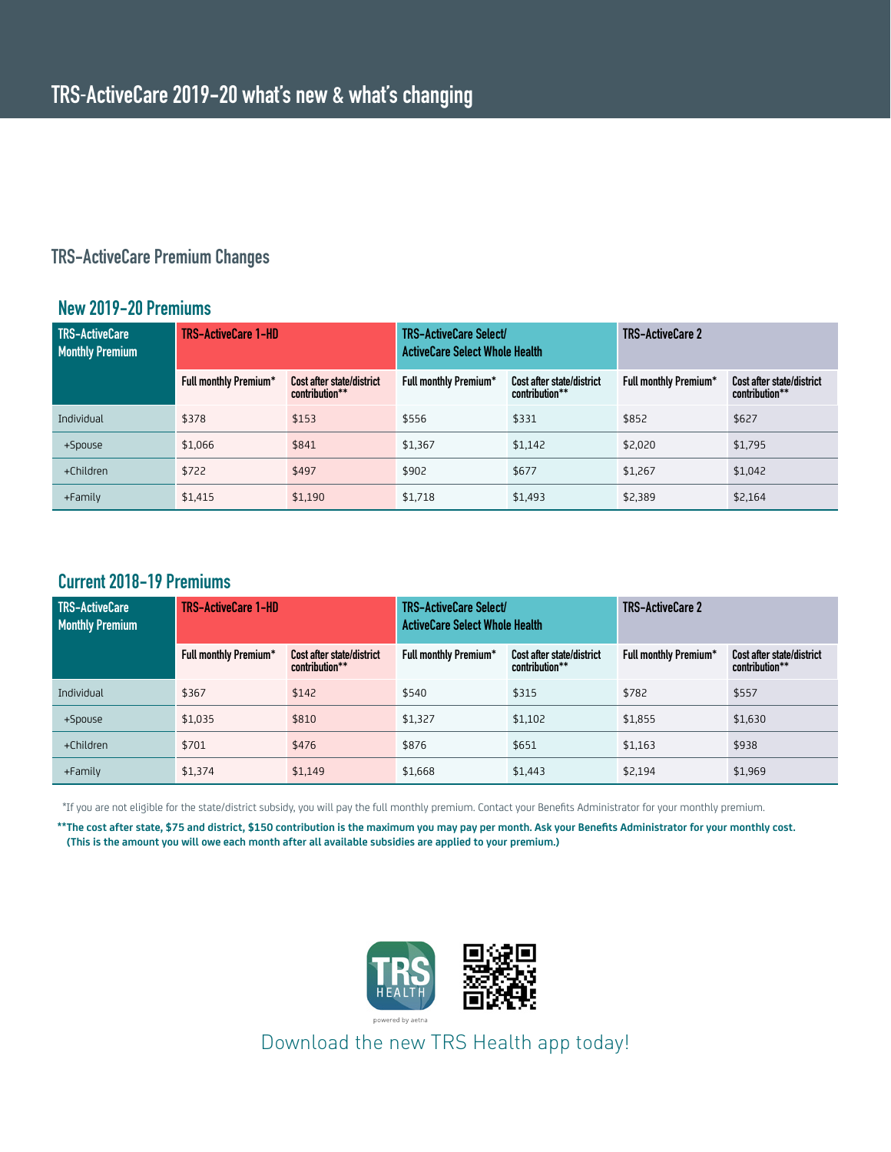#### **TRS-ActiveCare Premium Changes**

#### **New 2019-20 Premiums**

| <b>TRS-ActiveCare</b><br><b>Monthly Premium</b> | <b>TRS-ActiveCare 1-HD</b>   |                                             | TRS-ActiveCare Select/<br><b>ActiveCare Select Whole Health</b> |                                             | <b>TRS-ActiveCare 2</b>      |                                             |
|-------------------------------------------------|------------------------------|---------------------------------------------|-----------------------------------------------------------------|---------------------------------------------|------------------------------|---------------------------------------------|
|                                                 | <b>Full monthly Premium*</b> | Cost after state/district<br>contribution** | <b>Full monthly Premium*</b>                                    | Cost after state/district<br>contribution** | <b>Full monthly Premium*</b> | Cost after state/district<br>contribution** |
| Individual                                      | \$378                        | \$153                                       | \$556                                                           | \$331                                       | \$852                        | \$627                                       |
| +Spouse                                         | \$1.066                      | \$841                                       | \$1,367                                                         | \$1.142                                     | \$2,020                      | \$1,795                                     |
| +Children                                       | \$722                        | \$497                                       | \$902                                                           | \$677                                       | \$1.267                      | \$1,042                                     |
| $+$ Family                                      | \$1,415                      | \$1,190                                     | \$1,718                                                         | \$1,493                                     | \$2,389                      | \$2,164                                     |

#### **Current 2018-19 Premiums**

| TRS-ActiveCare<br><b>Monthly Premium</b> | <b>TRS-ActiveCare 1-HD</b>   |                                             | TRS-ActiveCare Select/<br><b>ActiveCare Select Whole Health</b> |                                             | <b>TRS-ActiveCare 2</b>      |                                             |
|------------------------------------------|------------------------------|---------------------------------------------|-----------------------------------------------------------------|---------------------------------------------|------------------------------|---------------------------------------------|
|                                          | <b>Full monthly Premium*</b> | Cost after state/district<br>contribution** | <b>Full monthly Premium*</b>                                    | Cost after state/district<br>contribution** | <b>Full monthly Premium*</b> | Cost after state/district<br>contribution** |
| Individual                               | \$367                        | \$142                                       | \$540                                                           | \$315                                       | \$782                        | \$557                                       |
| +Spouse                                  | \$1,035                      | \$810                                       | \$1,327                                                         | \$1,102                                     | \$1,855                      | \$1,630                                     |
| +Children                                | \$701                        | \$476                                       | \$876                                                           | \$651                                       | \$1,163                      | \$938                                       |
| $+$ Family                               | \$1,374                      | \$1,149                                     | \$1,668                                                         | \$1.443                                     | \$2,194                      | \$1,969                                     |

\*If you are not eligible for the state/district subsidy, you will pay the full monthly premium. Contact your Benefits Administrator for your monthly premium.

**\*\*The cost after state, \$75 and district, \$150 contribution is the maximum you may pay per month. Ask your Benefits Administrator for your monthly cost. (This is the amount you will owe each month after all available subsidies are applied to your premium.)** 



Download the new TRS Health app today!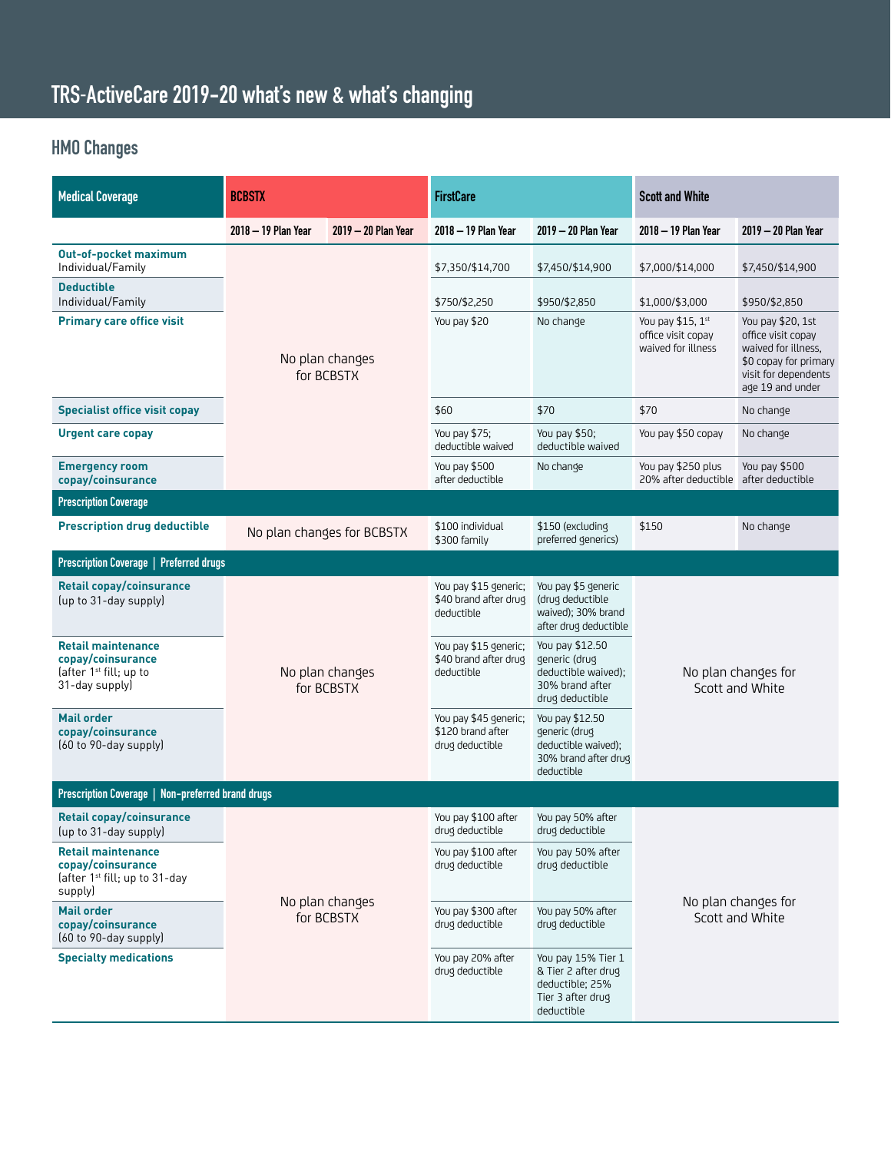## **TRS-ActiveCare 2019-20 what's new & what's changing**

## **HMO Changes**

| <b>Medical Coverage</b>                                                                                | <b>BCBSTX</b>                 |                               | <b>FirstCare</b>                                              |                                                                                                 | <b>Scott and White</b>                                         |                                                                                                                                     |
|--------------------------------------------------------------------------------------------------------|-------------------------------|-------------------------------|---------------------------------------------------------------|-------------------------------------------------------------------------------------------------|----------------------------------------------------------------|-------------------------------------------------------------------------------------------------------------------------------------|
|                                                                                                        | 2018 - 19 Plan Year           | 2019 - 20 Plan Year           | 2018 - 19 Plan Year                                           | 2019 - 20 Plan Year                                                                             | 2018 - 19 Plan Year                                            | 2019 - 20 Plan Year                                                                                                                 |
| <b>Out-of-pocket maximum</b><br>Individual/Family                                                      |                               |                               | \$7,350/\$14,700                                              | \$7,450/\$14,900                                                                                | \$7,000/\$14,000                                               | \$7,450/\$14,900                                                                                                                    |
| <b>Deductible</b><br>Individual/Family                                                                 |                               |                               | \$750/\$2,250                                                 | \$950/\$2,850                                                                                   | \$1,000/\$3,000                                                | \$950/\$2,850                                                                                                                       |
| <b>Primary care office visit</b>                                                                       | No plan changes<br>for BCBSTX |                               | You pay \$20                                                  | No change                                                                                       | You pay $$15, 1st$<br>office visit copay<br>waived for illness | You pay \$20, 1st<br>office visit copay<br>waived for illness.<br>\$0 copay for primary<br>visit for dependents<br>age 19 and under |
| <b>Specialist office visit copay</b>                                                                   |                               |                               | \$60                                                          | \$70                                                                                            | \$70                                                           | No change                                                                                                                           |
| <b>Urgent care copay</b>                                                                               |                               |                               | You pay \$75;<br>deductible waived                            | You pay \$50;<br>deductible waived                                                              | You pay \$50 copay                                             | No change                                                                                                                           |
| <b>Emergency room</b><br>copay/coinsurance                                                             |                               |                               | You pay \$500<br>after deductible                             | No change                                                                                       | You pay \$250 plus<br>20% after deductible after deductible    | You pay \$500                                                                                                                       |
| <b>Prescription Coverage</b>                                                                           |                               |                               |                                                               |                                                                                                 |                                                                |                                                                                                                                     |
| <b>Prescription drug deductible</b>                                                                    |                               | No plan changes for BCBSTX    | \$100 individual<br>\$300 family                              | \$150 (excludinq<br>preferred generics)                                                         | \$150                                                          | No change                                                                                                                           |
| Prescription Coverage   Preferred drugs                                                                |                               |                               |                                                               |                                                                                                 |                                                                |                                                                                                                                     |
| <b>Retail copay/coinsurance</b><br>(up to 31-day supply)                                               |                               |                               | You pay \$15 generic;<br>\$40 brand after drug<br>deductible  | You pay \$5 generic<br>(drug deductible<br>waived); 30% brand<br>after drug deductible          | No plan changes for<br>Scott and White                         |                                                                                                                                     |
| <b>Retail maintenance</b><br>copay/coinsurance<br>(after $1st$ fill; up to<br>31-day supply)           |                               | No plan changes<br>for BCBSTX | You pay \$15 generic;<br>\$40 brand after drug<br>deductible  | You pay \$12.50<br>generic (drug<br>deductible waived);<br>30% brand after<br>drug deductible   |                                                                |                                                                                                                                     |
| <b>Mail order</b><br>copay/coinsurance<br>[60 to 90-day supply]                                        |                               |                               | You pay \$45 generic;<br>\$120 brand after<br>drug deductible | You pay \$12.50<br>generic (drug<br>deductible waived);<br>30% brand after drug<br>deductible   |                                                                |                                                                                                                                     |
| Prescription Coverage   Non-preferred brand drugs                                                      |                               |                               |                                                               |                                                                                                 |                                                                |                                                                                                                                     |
| <b>Retail copay/coinsurance</b><br>(up to 31-day supply)                                               |                               |                               | You pay \$100 after<br>drug deductible                        | You pay 50% after<br>drug deductible                                                            |                                                                |                                                                                                                                     |
| <b>Retail maintenance</b><br>copay/coinsurance<br>(after 1 <sup>st</sup> fill; up to 31-day<br>supply) | No plan changes<br>for BCBSTX |                               | You pay \$100 after<br>drug deductible                        | You pay 50% after<br>drug deductible                                                            |                                                                |                                                                                                                                     |
| <b>Mail order</b><br>copay/coinsurance<br>(60 to 90-day supply)                                        |                               |                               | You pay \$300 after<br>drug deductible                        | You pay 50% after<br>drug deductible                                                            | No plan changes for<br>Scott and White                         |                                                                                                                                     |
| <b>Specialty medications</b>                                                                           |                               |                               | You pay 20% after<br>drug deductible                          | You pay 15% Tier 1<br>& Tier 2 after drug<br>deductible; 25%<br>Tier 3 after drug<br>deductible |                                                                |                                                                                                                                     |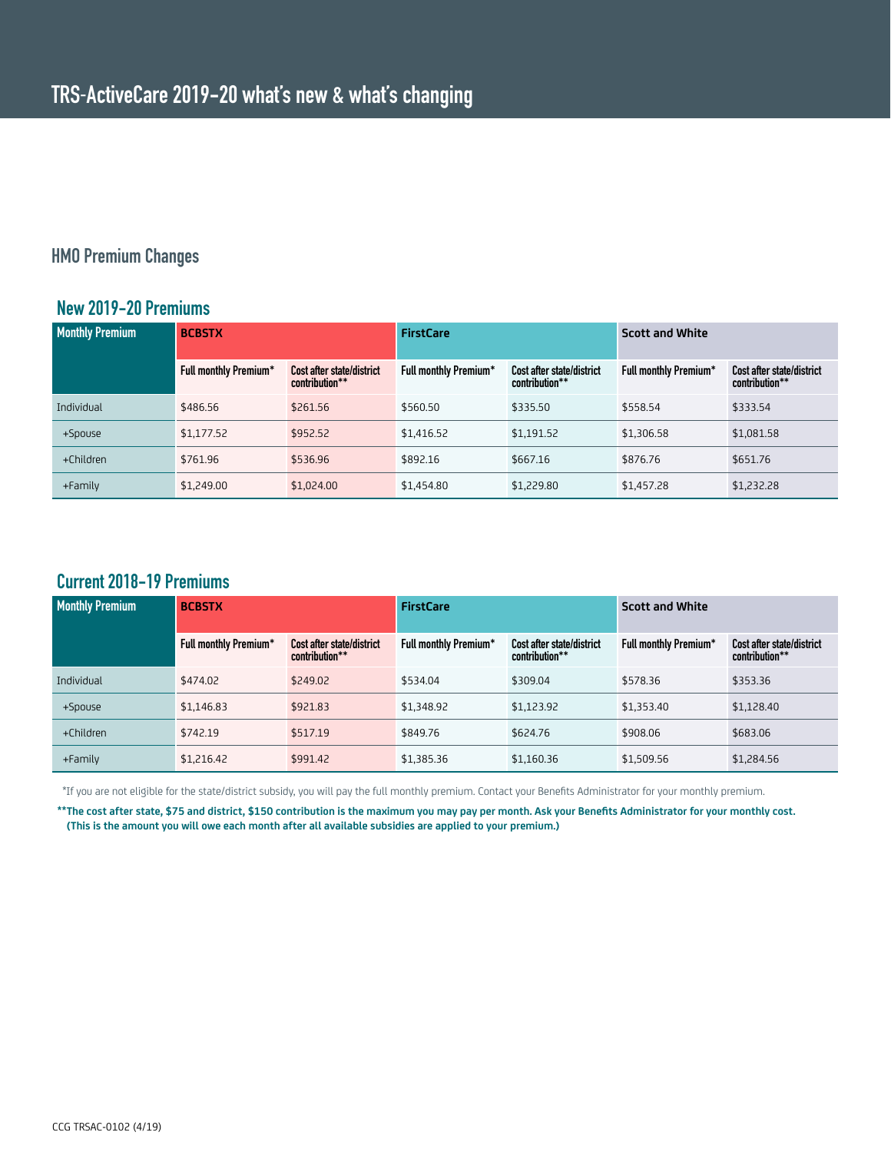#### **HMO Premium Changes**

#### **New 2019-20 Premiums**

| <b>Monthly Premium</b> | <b>BCBSTX</b>                |                                             | <b>FirstCare</b>             |                                                    | <b>Scott and White</b>       |                                             |
|------------------------|------------------------------|---------------------------------------------|------------------------------|----------------------------------------------------|------------------------------|---------------------------------------------|
|                        | <b>Full monthly Premium*</b> | Cost after state/district<br>contribution** | <b>Full monthly Premium*</b> | <b>Cost after state/district</b><br>contribution** | <b>Full monthly Premium*</b> | Cost after state/district<br>contribution** |
| Individual             | \$486.56                     | \$261.56                                    | \$560.50                     | \$335.50                                           | \$558.54                     | \$333.54                                    |
| +Spouse                | \$1,177.52                   | \$952.52                                    | \$1,416.52                   | \$1,191.52                                         | \$1,306.58                   | \$1,081.58                                  |
| +Children              | \$761.96                     | \$536.96                                    | \$892.16                     | \$667.16                                           | \$876.76                     | \$651.76                                    |
| +Family                | \$1,249.00                   | \$1,024.00                                  | \$1,454.80                   | \$1,229.80                                         | \$1,457.28                   | \$1,232.28                                  |

#### **Current 2018-19 Premiums**

| <b>Monthly Premium</b> | <b>BCBSTX</b>                |                                             | <b>FirstCare</b>             |                                             | <b>Scott and White</b>       |                                                    |
|------------------------|------------------------------|---------------------------------------------|------------------------------|---------------------------------------------|------------------------------|----------------------------------------------------|
|                        | <b>Full monthly Premium*</b> | Cost after state/district<br>contribution** | <b>Full monthly Premium*</b> | Cost after state/district<br>contribution** | <b>Full monthly Premium*</b> | <b>Cost after state/district</b><br>contribution** |
| Individual             | \$474.02                     | \$249.02                                    | \$534.04                     | \$309.04                                    | \$578.36                     | \$353.36                                           |
| +Spouse                | \$1,146.83                   | \$921.83                                    | \$1.348.92                   | \$1.123.92                                  | \$1,353.40                   | \$1.128.40                                         |
| +Children              | \$742.19                     | \$517.19                                    | \$849.76                     | \$624.76                                    | \$908.06                     | \$683.06                                           |
| +Family                | \$1,216.42                   | \$991.42                                    | \$1,385.36                   | \$1,160.36                                  | \$1,509.56                   | \$1,284.56                                         |

\*If you are not eligible for the state/district subsidy, you will pay the full monthly premium. Contact your Benefits Administrator for your monthly premium.

**\*\*The cost after state, \$75 and district, \$150 contribution is the maximum you may pay per month. Ask your Benefits Administrator for your monthly cost. (This is the amount you will owe each month after all available subsidies are applied to your premium.)**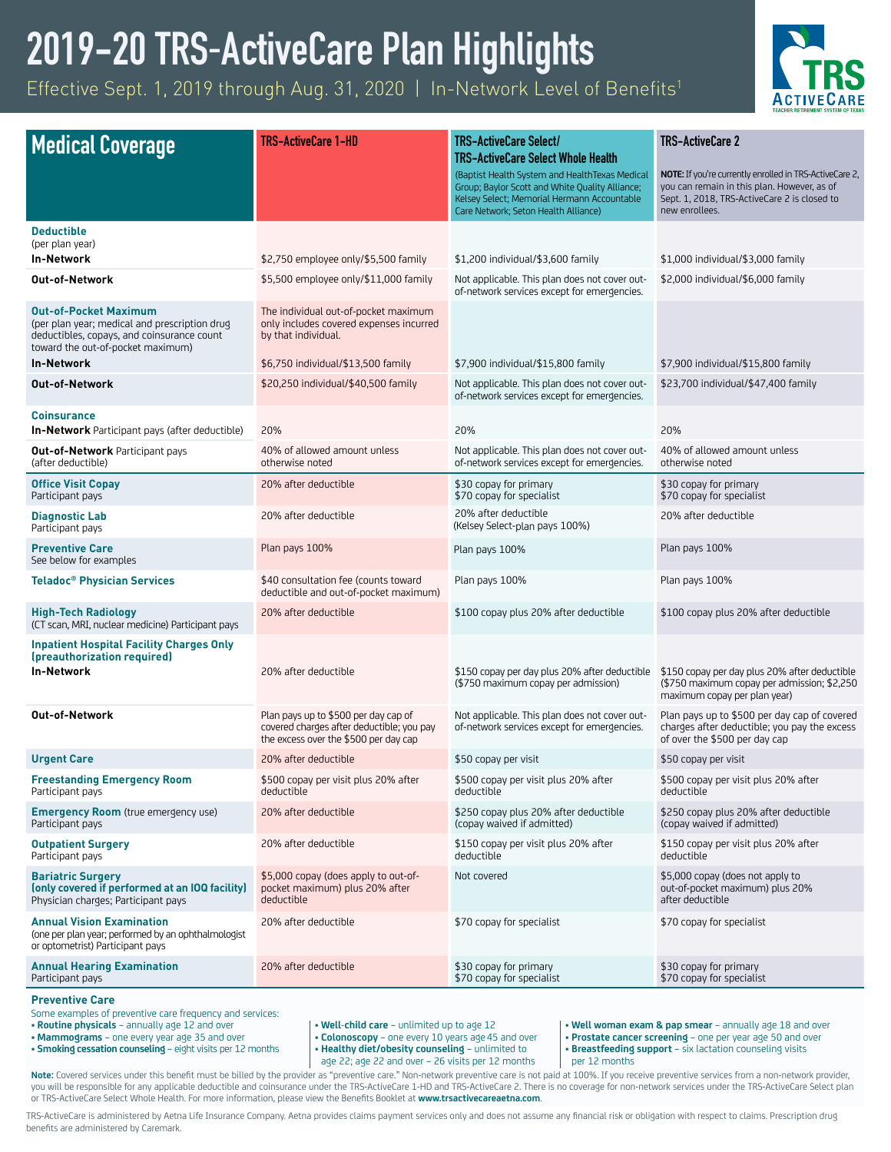# **2019-20 TRS-ActiveCare Plan Highlights**

Effective Sept. 1, 2019 through Aug. 31, 2020 | In-Network Level of Benefits<sup>1</sup>



|                                                                                                                             | <b>TRS-ActiveCare 1-HD</b>                                                                                                 | <b>TRS-ActiveCare Select/</b>                                                                     | <b>TRS-ActiveCare 2</b>                                                                                                       |
|-----------------------------------------------------------------------------------------------------------------------------|----------------------------------------------------------------------------------------------------------------------------|---------------------------------------------------------------------------------------------------|-------------------------------------------------------------------------------------------------------------------------------|
| <b>Medical Coverage</b>                                                                                                     |                                                                                                                            | <b>TRS-ActiveCare Select Whole Health</b>                                                         |                                                                                                                               |
|                                                                                                                             |                                                                                                                            | (Baptist Health System and HealthTexas Medical<br>Group; Baylor Scott and White Quality Alliance; | NOTE: If you're currently enrolled in TRS-ActiveCare 2,<br>you can remain in this plan. However, as of                        |
|                                                                                                                             |                                                                                                                            | Kelsey Select; Memorial Hermann Accountable<br>Care Network; Seton Health Alliance)               | Sept. 1, 2018, TRS-ActiveCare 2 is closed to<br>new enrollees.                                                                |
| <b>Deductible</b>                                                                                                           |                                                                                                                            |                                                                                                   |                                                                                                                               |
| (per plan year)                                                                                                             |                                                                                                                            |                                                                                                   |                                                                                                                               |
| <b>In-Network</b>                                                                                                           | \$2,750 employee only/\$5,500 family                                                                                       | \$1,200 individual/\$3,600 family                                                                 | \$1,000 individual/\$3,000 family                                                                                             |
| <b>Out-of-Network</b>                                                                                                       | \$5,500 employee only/\$11,000 family                                                                                      | Not applicable. This plan does not cover out-<br>of-network services except for emergencies.      | \$2,000 individual/\$6,000 family                                                                                             |
| <b>Out-of-Pocket Maximum</b><br>(per plan year; medical and prescription drug                                               | The individual out-of-pocket maximum<br>only includes covered expenses incurred                                            |                                                                                                   |                                                                                                                               |
| deductibles, copays, and coinsurance count                                                                                  | by that individual.                                                                                                        |                                                                                                   |                                                                                                                               |
| toward the out-of-pocket maximum)<br><b>In-Network</b>                                                                      | \$6,750 individual/\$13,500 family                                                                                         | \$7,900 individual/\$15,800 family                                                                | \$7,900 individual/\$15,800 family                                                                                            |
| <b>Out-of-Network</b>                                                                                                       | \$20,250 individual/\$40,500 family                                                                                        | Not applicable. This plan does not cover out-                                                     | \$23,700 individual/\$47,400 family                                                                                           |
|                                                                                                                             |                                                                                                                            | of-network services except for emergencies.                                                       |                                                                                                                               |
| <b>Coinsurance</b><br><b>In-Network</b> Participant pays (after deductible)                                                 | 20%                                                                                                                        | 20%                                                                                               | 20%                                                                                                                           |
| <b>Out-of-Network</b> Participant pays                                                                                      | 40% of allowed amount unless                                                                                               | Not applicable. This plan does not cover out-                                                     | 40% of allowed amount unless                                                                                                  |
| (after deductible)                                                                                                          | otherwise noted                                                                                                            | of-network services except for emergencies.                                                       | otherwise noted                                                                                                               |
| <b>Office Visit Copay</b><br>Participant pays                                                                               | 20% after deductible                                                                                                       | \$30 copay for primary<br>\$70 copay for specialist                                               | \$30 copay for primary<br>\$70 copay for specialist                                                                           |
| <b>Diagnostic Lab</b><br>Participant pays                                                                                   | 20% after deductible                                                                                                       | 20% after deductible<br>(Kelsey Select-plan pays 100%)                                            | 20% after deductible                                                                                                          |
| <b>Preventive Care</b><br>See below for examples                                                                            | Plan pays 100%                                                                                                             | Plan pays 100%                                                                                    | Plan pays 100%                                                                                                                |
| <b>Teladoc<sup>®</sup> Physician Services</b>                                                                               | \$40 consultation fee (counts toward<br>deductible and out-of-pocket maximum)                                              | Plan pays 100%                                                                                    | Plan pays 100%                                                                                                                |
| <b>High-Tech Radiology</b><br>(CT scan, MRI, nuclear medicine) Participant pays                                             | 20% after deductible                                                                                                       | \$100 copay plus 20% after deductible                                                             | \$100 copay plus 20% after deductible                                                                                         |
| <b>Inpatient Hospital Facility Charges Only</b><br>(preauthorization required)                                              |                                                                                                                            |                                                                                                   |                                                                                                                               |
| <b>In-Network</b>                                                                                                           | 20% after deductible                                                                                                       | \$150 copay per day plus 20% after deductible                                                     | \$150 copay per day plus 20% after deductible                                                                                 |
|                                                                                                                             |                                                                                                                            | (\$750 maximum copay per admission)                                                               | (\$750 maximum copay per admission; \$2,250<br>maximum copay per plan year)                                                   |
| <b>Out-of-Network</b>                                                                                                       | Plan pays up to \$500 per day cap of<br>covered charges after deductible; you pay<br>the excess over the \$500 per day cap | Not applicable. This plan does not cover out-<br>of-network services except for emergencies.      | Plan pays up to \$500 per day cap of covered<br>charges after deductible; you pay the excess<br>of over the \$500 per day cap |
| <b>Urgent Care</b>                                                                                                          | 20% after deductible                                                                                                       | \$50 copay per visit                                                                              | \$50 copay per visit                                                                                                          |
| <b>Freestanding Emergency Room</b><br>Participant pays                                                                      | \$500 copay per visit plus 20% after<br>deductible                                                                         | \$500 copay per visit plus 20% after<br>deductible                                                | \$500 copay per visit plus 20% after<br>deductible                                                                            |
| <b>Emergency Room</b> (true emergency use)<br>Participant pays                                                              | 20% after deductible                                                                                                       | \$250 copay plus 20% after deductible<br>(copay waived if admitted)                               | \$250 copay plus 20% after deductible<br>(copay waived if admitted)                                                           |
| <b>Outpatient Surgery</b><br>Participant pays                                                                               | 20% after deductible                                                                                                       | \$150 copay per visit plus 20% after<br>deductible                                                | \$150 copay per visit plus 20% after<br>deductible                                                                            |
| <b>Bariatric Surgery</b><br>(only covered if performed at an IOQ facility)<br>Physician charges; Participant pays           | \$5,000 copay (does apply to out-of-<br>pocket maximum) plus 20% after<br>deductible                                       | Not covered                                                                                       | \$5,000 copay (does not apply to<br>out-of-pocket maximum) plus 20%<br>after deductible                                       |
| <b>Annual Vision Examination</b><br>(one per plan year; performed by an ophthalmologist<br>or optometrist) Participant pays | 20% after deductible                                                                                                       | \$70 copay for specialist                                                                         | \$70 copay for specialist                                                                                                     |
| <b>Annual Hearing Examination</b><br>Participant pays                                                                       | 20% after deductible                                                                                                       | \$30 copay for primary<br>\$70 copay for specialist                                               | \$30 copay for primary<br>\$70 copay for specialist                                                                           |

#### **Preventive Care**

Some examples of preventive care frequency and services: **• Routine physicals** – annually age 12 and over

- **Mammograms** one every year age 35 and over
- **Smoking cessation counseling** eight visits per 12 months
- **Well-child care** unlimited up to age 12
- **Colonoscopy** one every 10 years age 45 and over
- 

**• Well woman exam & pap smear** – annually age 18 and over **• Prostate cancer screening** – one per year age 50 and over

**• Healthy diet/obesity counseling** – unlimited to age 22; age 22 and over – 26 visits per 12 months

**• Breastfeeding support** – six lactation counseling visits per 12 months

**Note:** Covered services under this benefit must be billed by the provider as "preventive care." Non-network preventive care is not paid at 100%. If you receive preventive services from a non-network provider, you will be responsible for any applicable deductible and coinsurance under the TRS-ActiveCare 1-HD and TRS-ActiveCare 2. There is no coverage for non-network services under the TRS-ActiveCare Select plan or TRS-ActiveCare Select Whole Health. For more information, please view the Benefits Booklet at **[www.trsactivecareaetna.com](http://www.trsactivecareaetna.com)**.

TRS-ActiveCare is administered by Aetna Life Insurance Company. Aetna provides claims payment services only and does not assume any financial risk or obligation with respect to claims. Prescription drug benefits are administered by Caremark.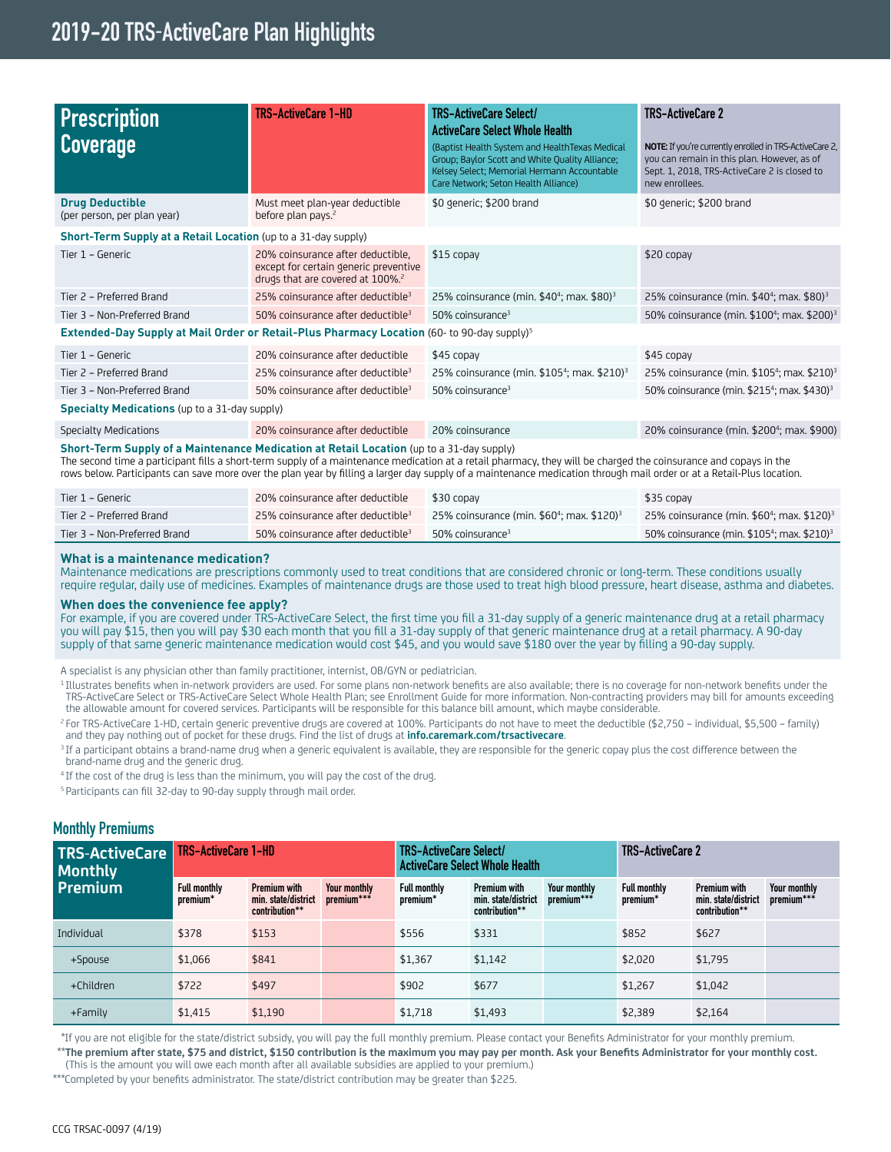### **2019-20 TRS-ActiveCare Plan Highlights**

| <b>Prescription</b><br>Coverage                                                                        | <b>TRS-ActiveCare 1-HD</b>                                                                                                 | TRS-ActiveCare Select/<br><b>ActiveCare Select Whole Health</b><br>(Baptist Health System and HealthTexas Medical<br>Group; Baylor Scott and White Quality Alliance;<br>Kelsey Select; Memorial Hermann Accountable<br>Care Network; Seton Health Alliance)                                                                               | <b>TRS-ActiveCare 2</b><br><b>NOTE:</b> If you're currently enrolled in TRS-ActiveCare 2,<br>you can remain in this plan. However, as of<br>Sept. 1, 2018, TRS-ActiveCare 2 is closed to<br>new enrollees. |
|--------------------------------------------------------------------------------------------------------|----------------------------------------------------------------------------------------------------------------------------|-------------------------------------------------------------------------------------------------------------------------------------------------------------------------------------------------------------------------------------------------------------------------------------------------------------------------------------------|------------------------------------------------------------------------------------------------------------------------------------------------------------------------------------------------------------|
| <b>Drug Deductible</b><br>(per person, per plan year)                                                  | Must meet plan-year deductible<br>before plan pays. <sup>2</sup>                                                           | \$0 generic; \$200 brand                                                                                                                                                                                                                                                                                                                  | \$0 generic; \$200 brand                                                                                                                                                                                   |
| Short-Term Supply at a Retail Location (up to a 31-day supply)                                         |                                                                                                                            |                                                                                                                                                                                                                                                                                                                                           |                                                                                                                                                                                                            |
| Tier 1 - Generic                                                                                       | 20% coinsurance after deductible,<br>except for certain generic preventive<br>drugs that are covered at 100%. <sup>2</sup> | $$15$ copay                                                                                                                                                                                                                                                                                                                               | \$20 copay                                                                                                                                                                                                 |
| Tier 2 - Preferred Brand                                                                               | 25% coinsurance after deductible <sup>3</sup>                                                                              | 25% coinsurance (min. $$40^4$ ; max. $$80$ ) <sup>3</sup>                                                                                                                                                                                                                                                                                 | 25% coinsurance (min. $$40^4$ ; max. $$80$ ) <sup>3</sup>                                                                                                                                                  |
| Tier 3 - Non-Preferred Brand                                                                           | 50% coinsurance after deductible <sup>3</sup>                                                                              | 50% coinsurance <sup>3</sup>                                                                                                                                                                                                                                                                                                              | 50% coinsurance (min. \$100 <sup>4</sup> ; max. \$200) <sup>3</sup>                                                                                                                                        |
| Extended-Day Supply at Mail Order or Retail-Plus Pharmacy Location (60- to 90-day supply) <sup>5</sup> |                                                                                                                            |                                                                                                                                                                                                                                                                                                                                           |                                                                                                                                                                                                            |
| Tier 1 - Generic                                                                                       | 20% coinsurance after deductible                                                                                           | \$45 copay                                                                                                                                                                                                                                                                                                                                | $$45$ copay                                                                                                                                                                                                |
| Tier 2 - Preferred Brand                                                                               | 25% coinsurance after deductible <sup>3</sup>                                                                              | 25% coinsurance (min. \$105 <sup>4</sup> ; max. \$210) <sup>3</sup>                                                                                                                                                                                                                                                                       | 25% coinsurance (min. \$105 <sup>4</sup> ; max. \$210) <sup>3</sup>                                                                                                                                        |
| Tier 3 - Non-Preferred Brand                                                                           | 50% coinsurance after deductible <sup>3</sup>                                                                              | 50% coinsurance <sup>3</sup>                                                                                                                                                                                                                                                                                                              | 50% coinsurance (min. \$215 <sup>4</sup> ; max. \$430) <sup>3</sup>                                                                                                                                        |
| <b>Specialty Medications</b> (up to a 31-day supply)                                                   |                                                                                                                            |                                                                                                                                                                                                                                                                                                                                           |                                                                                                                                                                                                            |
| <b>Specialty Medications</b>                                                                           | 20% coinsurance after deductible                                                                                           | 20% coinsurance                                                                                                                                                                                                                                                                                                                           | 20% coinsurance (min. \$200 <sup>4</sup> ; max. \$900)                                                                                                                                                     |
| Short-Term Supply of a Maintenance Medication at Retail Location (up to a 31-day supply)               |                                                                                                                            | The second time a participant fills a short-term supply of a maintenance medication at a retail pharmacy, they will be charged the coinsurance and copays in the<br>rows below. Participants can save more over the plan year by filling a larger day supply of a maintenance medication through mail order or at a Retail-Plus location. |                                                                                                                                                                                                            |

| Tier 1 – Generic             | 20% coinsurance after deductible                | \$30 copay                                                            | \$35 copay                                                          |
|------------------------------|-------------------------------------------------|-----------------------------------------------------------------------|---------------------------------------------------------------------|
| Tier 2 – Preferred Brand     | $\,$ 25% coinsurance after deductible $^3$ $^3$ | $25\%$ coinsurance (min. \$60 <sup>4</sup> ; max. \$120) <sup>3</sup> | 25% coinsurance (min. $$604$ ; max. $$120$ ) <sup>3</sup>           |
| Tier 3 – Non-Preferred Brand | 50% coinsurance after deductible <sup>3</sup>   | 50% coinsurance <sup>3</sup>                                          | 50% coinsurance (min. \$105 <sup>4</sup> ; max. \$210) <sup>3</sup> |

#### **What is a maintenance medication?**

Maintenance medications are prescriptions commonly used to treat conditions that are considered chronic or long-term. These conditions usually require regular, daily use of medicines. Examples of maintenance drugs are those used to treat high blood pressure, heart disease, asthma and diabetes.

#### **When does the convenience fee apply?**

For example, if you are covered under TRS-ActiveCare Select, the first time you fill a 31-day supply of a generic maintenance drug at a retail pharmacy you will pay \$15, then you will pay \$30 each month that you fill a 31-day supply of that generic maintenance drug at a retail pharmacy. A 90-day supply of that same generic maintenance medication would cost \$45, and you would save \$180 over the year by filling a 90-day supply.

A specialist is any physician other than family practitioner, internist, OB/GYN or pediatrician.

- <sup>1</sup>Illustrates benefits when in-network providers are used. For some plans non-network benefits are also available; there is no coverage for non-network benefits under the TRS-ActiveCare Select or TRS-ActiveCare Select Whole Health Plan; see Enrollment Guide for more information. Non-contracting providers may bill for amounts exceeding the allowable amount for covered services. Participants will be responsible for this balance bill amount, which maybe considerable.
- <sup>2</sup> For TRS-ActiveCare 1-HD, certain generic preventive drugs are covered at 100%. Participants do not have to meet the deductible (\$2,750 individual, \$5,500 family)<br>and they pay nothing out of pocket for these drugs.
- <sup>3</sup>If a participant obtains a brand-name drug when a generic equivalent is available, they are responsible for the generic copay plus the cost difference between the brand-name drug and the generic drug.
- <sup>4</sup> If the cost of the drug is less than the minimum, you will pay the cost of the drug.

<sup>5</sup> Participants can fill 32-day to 90-day supply through mail order.

#### **Monthly Premiums**

| <b>TRS-ActiveCare</b><br><b>Monthly</b> | TRS-ActiveCare 1-HD             |                                                       |                                     | TRS-ActiveCare Select/<br><b>ActiveCare Select Whole Health</b> |                                                       |                                     | <b>TRS-ActiveCare 2</b>         |                                                              |                            |
|-----------------------------------------|---------------------------------|-------------------------------------------------------|-------------------------------------|-----------------------------------------------------------------|-------------------------------------------------------|-------------------------------------|---------------------------------|--------------------------------------------------------------|----------------------------|
| <b>Premium</b>                          | <b>Full monthly</b><br>premium* | Premium with<br>min. state/district<br>contribution** | <b>Your monthly</b><br>$premium***$ | <b>Full monthly</b><br>premium*                                 | Premium with<br>min. state/district<br>contribution** | <b>Your monthly</b><br>$premium***$ | <b>Full monthly</b><br>premium* | <b>Premium with</b><br>min. state/district<br>contribution** | Your monthly<br>premium*** |
| Individual                              | \$378                           | \$153                                                 |                                     | \$556                                                           | \$331                                                 |                                     | \$852                           | \$627                                                        |                            |
| +Spouse                                 | \$1,066                         | \$841                                                 |                                     | \$1,367                                                         | \$1.142                                               |                                     | \$2,020                         | \$1,795                                                      |                            |
| +Children                               | \$722                           | \$497                                                 |                                     | \$902                                                           | \$677                                                 |                                     | \$1,267                         | \$1,042                                                      |                            |
| +Family                                 | \$1,415                         | \$1,190                                               |                                     | \$1,718                                                         | \$1,493                                               |                                     | \$2,389                         | \$2,164                                                      |                            |

\*If you are not eligible for the state/district subsidy, you will pay the full monthly premium. Please contact your Benefits Administrator for your monthly premium. \*\***The premium after state, \$75 and district, \$150 contribution is the maximum you may pay per month. Ask your Benefits Administrator for your monthly cost.**

(This is the amount you will owe each month after all available subsidies are applied to your premium.)

\*\*\*Completed by your benefits administrator. The state/district contribution may be greater than \$225.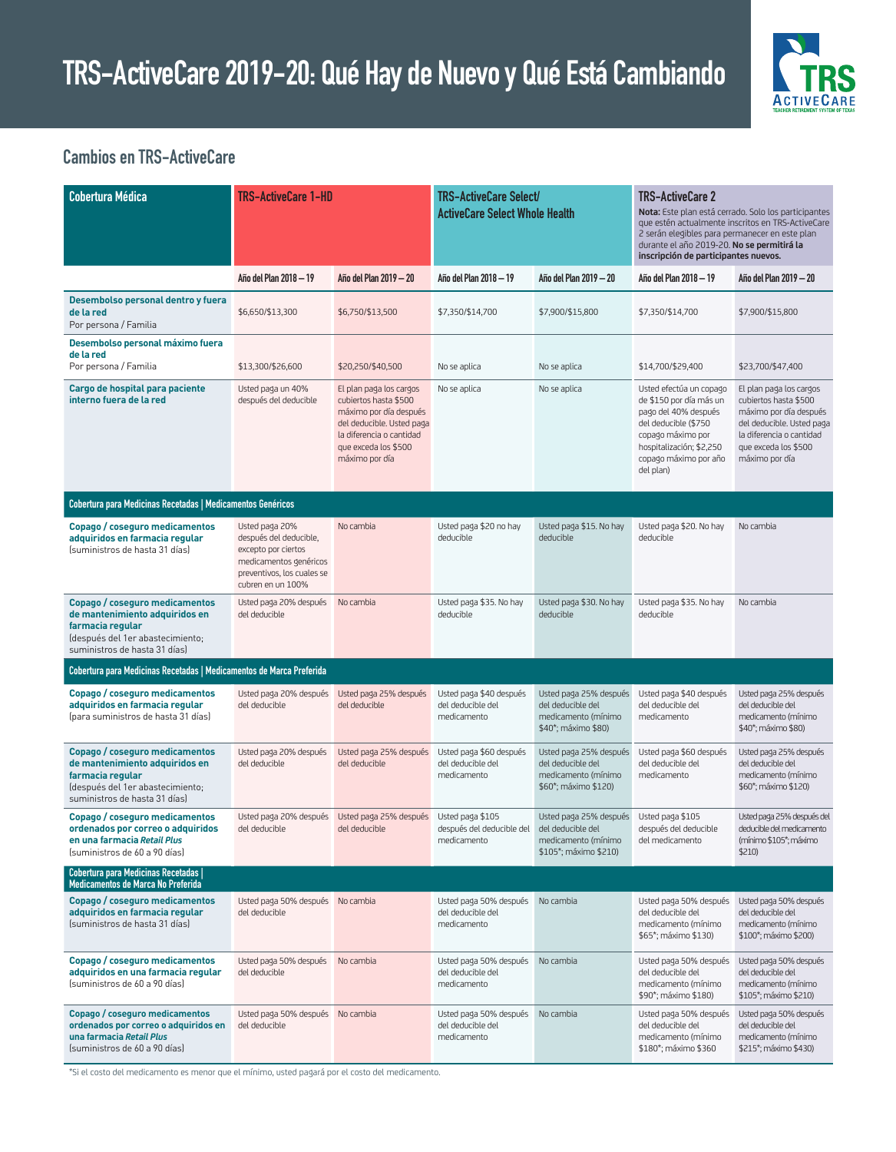

### **Cambios en TRS-ActiveCare**

| <b>Cobertura Médica</b>                                                                                                                                   | <b>TRS-ActiveCare 1-HD</b>                                                                                                                   |                                                                                                                                                                               | <b>TRS-ActiveCare Select/</b><br><b>ActiveCare Select Whole Health</b> |                                                                                            | <b>TRS-ActiveCare 2</b><br>Nota: Este plan está cerrado. Solo los participantes<br>que estén actualmente inscritos en TRS-ActiveCare<br>2 serán elegibles para permanecer en este plan<br>durante el año 2019-20. No se permitirá la<br>inscripción de participantes nuevos. |                                                                                                                                                                               |
|-----------------------------------------------------------------------------------------------------------------------------------------------------------|----------------------------------------------------------------------------------------------------------------------------------------------|-------------------------------------------------------------------------------------------------------------------------------------------------------------------------------|------------------------------------------------------------------------|--------------------------------------------------------------------------------------------|------------------------------------------------------------------------------------------------------------------------------------------------------------------------------------------------------------------------------------------------------------------------------|-------------------------------------------------------------------------------------------------------------------------------------------------------------------------------|
|                                                                                                                                                           | Año del Plan 2018 - 19                                                                                                                       | Año del Plan 2019 - 20                                                                                                                                                        | Año del Plan 2018 — 19                                                 | Año del Plan 2019 — 20                                                                     | Año del Plan 2018 - 19                                                                                                                                                                                                                                                       | Año del Plan 2019 — 20                                                                                                                                                        |
| Desembolso personal dentro y fuera<br>de la red<br>Por persona / Familia                                                                                  | \$6,650/\$13,300                                                                                                                             | \$6,750/\$13,500                                                                                                                                                              | \$7,350/\$14,700                                                       | \$7,900/\$15,800                                                                           | \$7,350/\$14,700                                                                                                                                                                                                                                                             | \$7,900/\$15,800                                                                                                                                                              |
| Desembolso personal máximo fuera<br>de la red<br>Por persona / Familia                                                                                    | \$13,300/\$26,600                                                                                                                            | \$20,250/\$40,500                                                                                                                                                             | No se aplica                                                           | No se aplica                                                                               | \$14,700/\$29,400                                                                                                                                                                                                                                                            | \$23,700/\$47,400                                                                                                                                                             |
| Cargo de hospital para paciente<br>interno fuera de la red                                                                                                | Usted paga un 40%<br>después del deducible                                                                                                   | El plan paga los cargos<br>cubiertos hasta \$500<br>máximo por día después<br>del deducible. Usted paga<br>la diferencia o cantidad<br>que exceda los \$500<br>máximo por día | No se aplica                                                           | No se aplica                                                                               | Usted efectúa un copago<br>de \$150 por día más un<br>pago del 40% después<br>del deducible (\$750<br>copago máximo por<br>hospitalización; \$2,250<br>copago máximo por año<br>del plan)                                                                                    | El plan paga los cargos<br>cubiertos hasta \$500<br>máximo por día después<br>del deducible. Usted paga<br>la diferencia o cantidad<br>que exceda los \$500<br>máximo por día |
| Cobertura para Medicinas Recetadas   Medicamentos Genéricos                                                                                               |                                                                                                                                              |                                                                                                                                                                               |                                                                        |                                                                                            |                                                                                                                                                                                                                                                                              |                                                                                                                                                                               |
| Copago / coseguro medicamentos<br>adquiridos en farmacia regular<br>Ísuministros de hasta 31 días)                                                        | Usted paga 20%<br>después del deducible,<br>excepto por ciertos<br>medicamentos genéricos<br>preventivos, los cuales se<br>cubren en un 100% | No cambia                                                                                                                                                                     | Usted paga \$20 no hay<br>deducible                                    | Usted paga \$15. No hay<br>deducible                                                       | Usted paga \$20. No hay<br>deducible                                                                                                                                                                                                                                         | No cambia                                                                                                                                                                     |
| Copago / coseguro medicamentos<br>de mantenimiento adquiridos en<br>farmacia regular<br>(después del 1er abastecimiento;<br>suministros de hasta 31 días) | Usted paga 20% después<br>del deducible                                                                                                      | No cambia                                                                                                                                                                     | Usted paga \$35. No hay<br>deducible                                   | Usted paga \$30. No hay<br>deducible                                                       | Usted paga \$35. No hay<br>deducible                                                                                                                                                                                                                                         | No cambia                                                                                                                                                                     |
| Cobertura para Medicinas Recetadas   Medicamentos de Marca Preferida                                                                                      |                                                                                                                                              |                                                                                                                                                                               |                                                                        |                                                                                            |                                                                                                                                                                                                                                                                              |                                                                                                                                                                               |
| Copago / coseguro medicamentos<br>adquiridos en farmacia regular<br>(para suministros de hasta 31 días)                                                   | Usted paga 20% después<br>del deducible                                                                                                      | Usted paga 25% después<br>del deducible                                                                                                                                       | Usted paga \$40 después<br>del deducible del<br>medicamento            | Usted paga 25% después<br>del deducible del<br>medicamento (mínimo<br>\$40*; máximo \$80)  | Usted paga \$40 después<br>del deducible del<br>medicamento                                                                                                                                                                                                                  | Usted paga 25% después<br>del deducible del<br>medicamento (mínimo<br>\$40*; máximo \$80)                                                                                     |
| Copago / coseguro medicamentos<br>de mantenimiento adquiridos en<br>farmacia regular<br>(después del 1er abastecimiento;<br>suministros de hasta 31 días) | Usted paga 20% después<br>del deducible                                                                                                      | Usted paga 25% después<br>del deducible                                                                                                                                       | Usted paga \$60 después<br>del deducible del<br>medicamento            | Usted paga 25% después<br>del deducible del<br>medicamento (mínimo<br>\$60*; máximo \$120) | Usted paga \$60 después<br>del deducible del<br>medicamento                                                                                                                                                                                                                  | Usted paga 25% después<br>del deducible del<br>medicamento (mínimo<br>\$60*; máximo \$120)                                                                                    |
| Copago / coseguro medicamentos<br>ordenados por correo o adquiridos<br>en una farmacia Retail Plus<br>(suministros de 60 a 90 días)                       | del deducible                                                                                                                                | Usted paga 20% después Usted paga 25% después Usted paga \$105<br>del deducible                                                                                               | después del deducible del del deducible del<br>medicamento             | Usted paga 25% después Usted paga \$105<br>medicamento (mínimo<br>\$105*; máximo \$210)    | después del deducible<br>del medicamento                                                                                                                                                                                                                                     | Usted paga 25% después del<br>deducible del medicamento<br>(mínimo \$105*; máximo<br>\$210                                                                                    |
| Cobertura para Medicinas Recetadas  <br>Medicamentos de Marca No Preferida                                                                                |                                                                                                                                              |                                                                                                                                                                               |                                                                        |                                                                                            |                                                                                                                                                                                                                                                                              |                                                                                                                                                                               |
| Copago / coseguro medicamentos<br>adquiridos en farmacia regular<br>(suministros de hasta 31 días)                                                        | Usted paga 50% después No cambia<br>del deducible                                                                                            |                                                                                                                                                                               | Usted paga 50% después<br>del deducible del<br>medicamento             | No cambia                                                                                  | Usted paga 50% después<br>del deducible del<br>medicamento (mínimo<br>\$65*; máximo \$130)                                                                                                                                                                                   | Usted paga 50% después<br>del deducible del<br>medicamento (mínimo<br>\$100*; máximo \$200)                                                                                   |
| Copago / coseguro medicamentos<br>adquiridos en una farmacia regular<br>(suministros de 60 a 90 días)                                                     | Usted paga 50% después<br>del deducible                                                                                                      | No cambia                                                                                                                                                                     | Usted paga 50% después<br>del deducible del<br>medicamento             | No cambia                                                                                  | Usted paga 50% después<br>del deducible del<br>medicamento (mínimo<br>\$90*; máximo \$180)                                                                                                                                                                                   | Usted paga 50% después<br>del deducible del<br>medicamento (mínimo<br>\$105*; máximo \$210)                                                                                   |
| Copago / coseguro medicamentos<br>ordenados por correo o adquiridos en<br>una farmacia Retail Plus<br>(suministros de 60 a 90 días)                       | Usted paga 50% después No cambia<br>del deducible                                                                                            |                                                                                                                                                                               | Usted paga 50% después<br>del deducible del<br>medicamento             | No cambia                                                                                  | Usted paga 50% después<br>del deducible del<br>medicamento (mínimo<br>\$180*; máximo \$360                                                                                                                                                                                   | Usted paga 50% después<br>del deducible del<br>medicamento (mínimo<br>\$215*; máximo \$430)                                                                                   |

\*Si el costo del medicamento es menor que el mínimo, usted pagará por el costo del medicamento.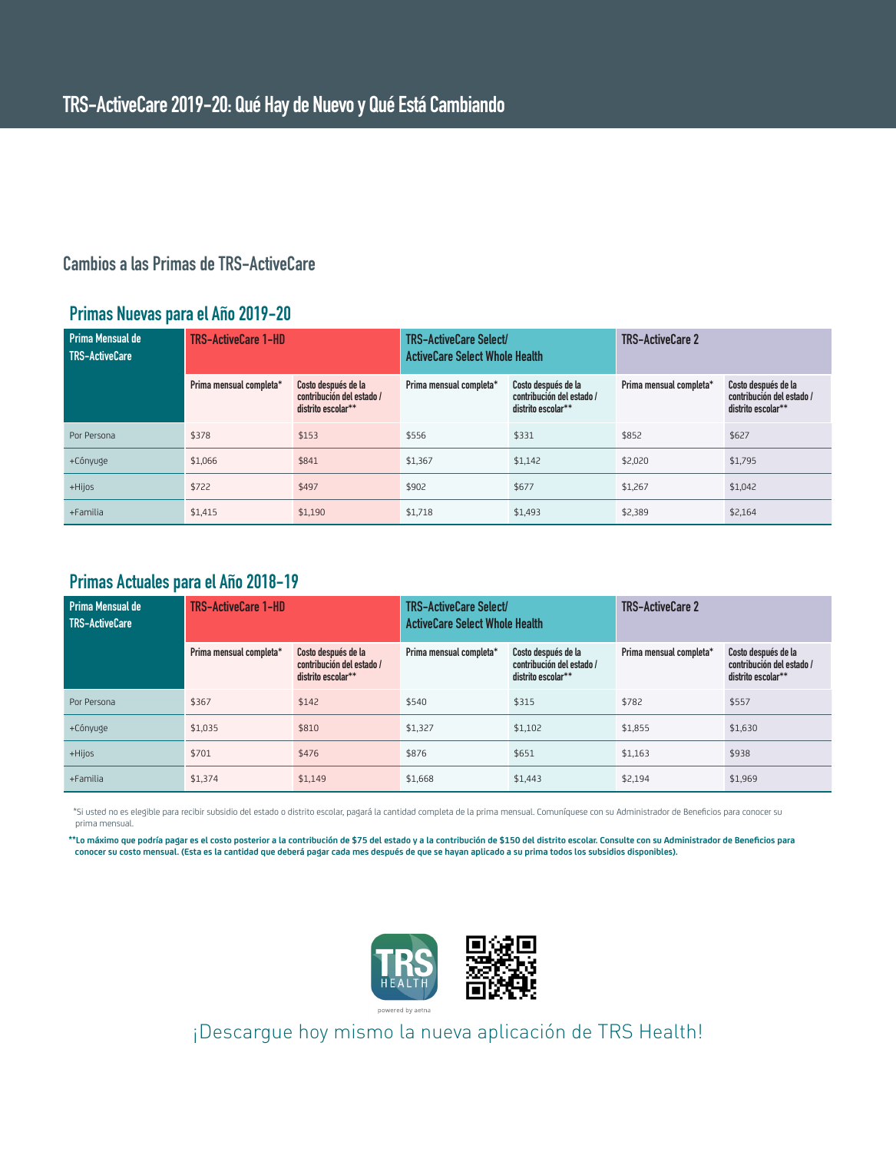### **Cambios a las Primas de TRS-ActiveCare**

#### **Primas Nuevas para el Año 2019-20**

| Prima Mensual de<br><b>TRS-ActiveCare</b> | <b>TRS-ActiveCare 1-HD</b> |                                                                        | <b>TRS-ActiveCare Select/</b><br><b>ActiveCare Select Whole Health</b> |                                                                        | <b>TRS-ActiveCare 2</b> |                                                                        |
|-------------------------------------------|----------------------------|------------------------------------------------------------------------|------------------------------------------------------------------------|------------------------------------------------------------------------|-------------------------|------------------------------------------------------------------------|
|                                           | Prima mensual completa*    | Costo después de la<br>contribución del estado /<br>distrito escolar** | Prima mensual completa*                                                | Costo después de la<br>contribución del estado /<br>distrito escolar** | Prima mensual completa* | Costo después de la<br>contribución del estado /<br>distrito escolar** |
| Por Persona                               | \$378                      | \$153                                                                  | \$556                                                                  | \$331                                                                  | \$852                   | \$627                                                                  |
| +Cónyuge                                  | \$1,066                    | \$841                                                                  | \$1,367                                                                | \$1,142                                                                | \$2,020                 | \$1,795                                                                |
| +Hijos                                    | \$722                      | \$497                                                                  | \$902                                                                  | \$677                                                                  | \$1,267                 | \$1,042                                                                |
| +Familia                                  | \$1,415                    | \$1,190                                                                | \$1,718                                                                | \$1,493                                                                | \$2,389                 | \$2,164                                                                |

#### **Primas Actuales para el Año 2018-19**

| Prima Mensual de<br><b>TRS-ActiveCare</b> | <b>TRS-ActiveCare 1-HD</b> |                                                                                                                                                                             | <b>TRS-ActiveCare Select/</b><br><b>ActiveCare Select Whole Health</b> |                         | <b>TRS-ActiveCare 2</b>                                                |         |
|-------------------------------------------|----------------------------|-----------------------------------------------------------------------------------------------------------------------------------------------------------------------------|------------------------------------------------------------------------|-------------------------|------------------------------------------------------------------------|---------|
|                                           | Prima mensual completa*    | Costo después de la<br>Costo después de la<br>Prima mensual completa*<br>contribución del estado /<br>contribución del estado /<br>distrito escolar**<br>distrito escolar** |                                                                        | Prima mensual completa* | Costo después de la<br>contribución del estado /<br>distrito escolar** |         |
| Por Persona                               | \$367                      | \$142                                                                                                                                                                       | \$540                                                                  | \$315                   | \$782                                                                  | \$557   |
| +Cónyuge                                  | \$1,035                    | \$810                                                                                                                                                                       | \$1,327                                                                | \$1,102                 | \$1,855                                                                | \$1,630 |
| +Hijos                                    | \$701                      | \$476                                                                                                                                                                       | \$876                                                                  | \$651                   | \$1,163                                                                | \$938   |
| +Familia                                  | \$1,374                    | \$1,149                                                                                                                                                                     | \$1,668                                                                | \$1,443                 | \$2,194                                                                | \$1,969 |

 \*Si usted no es elegible para recibir subsidio del estado o distrito escolar, pagará la cantidad completa de la prima mensual. Comuníquese con su Administrador de Beneficios para conocer su prima mensual.

**\*\*Lo máximo que podría pagar es el costo posterior a la contribución de \$75 del estado y a la contribución de \$150 del distrito escolar. Consulte con su Administrador de Beneficios para conocer su costo mensual. (Esta es la cantidad que deberá pagar cada mes después de que se hayan aplicado a su prima todos los subsidios disponibles).**



¡Descargue hoy mismo la nueva aplicación de TRS Health!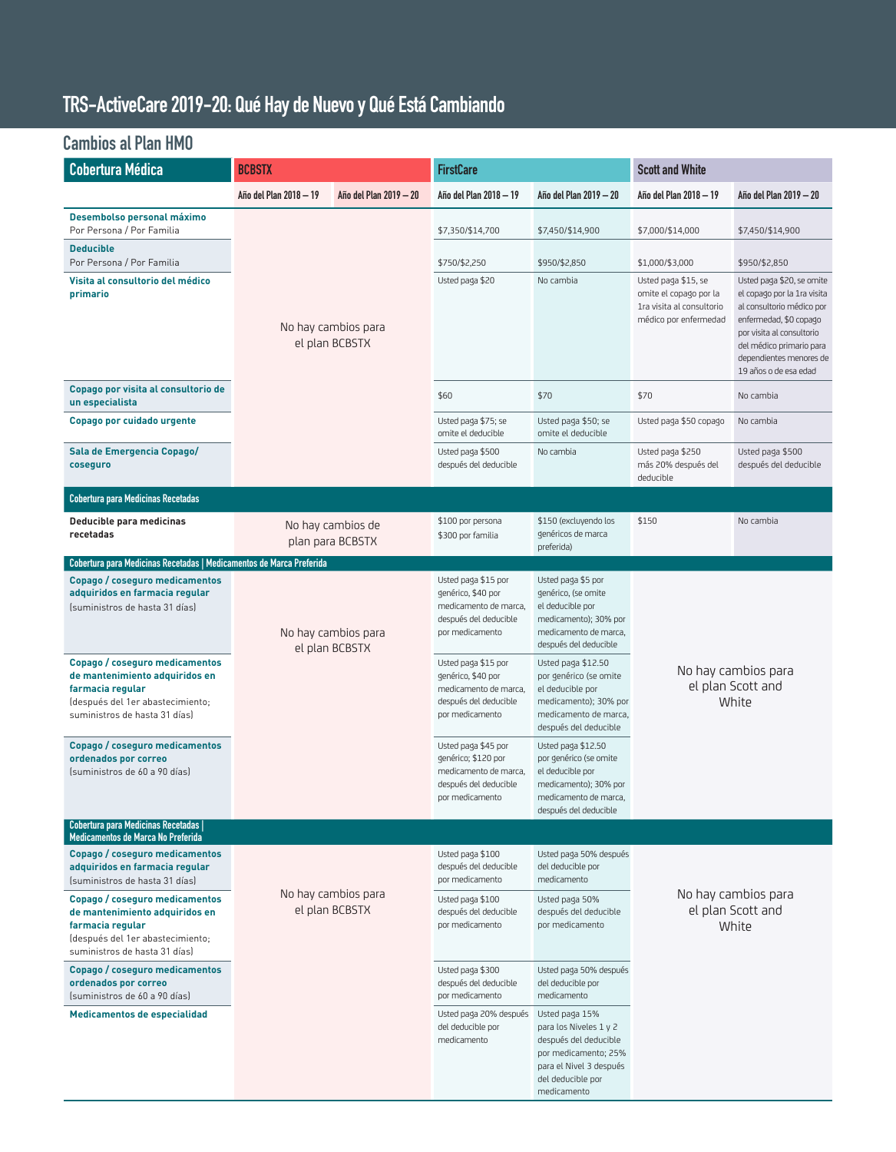## **TRS-ActiveCare 2019-20: Qué Hay de Nuevo y Qué Está Cambiando**

## **Cambios al Plan HMO**

| Cobertura Médica                                                                                                                                           | <b>BCBSTX</b>                         |                                       | <b>FirstCare</b>                                                                                                |                                                                                                                                                          | <b>Scott and White</b>                                                                              |                                                                                                                                                                                                                              |  |
|------------------------------------------------------------------------------------------------------------------------------------------------------------|---------------------------------------|---------------------------------------|-----------------------------------------------------------------------------------------------------------------|----------------------------------------------------------------------------------------------------------------------------------------------------------|-----------------------------------------------------------------------------------------------------|------------------------------------------------------------------------------------------------------------------------------------------------------------------------------------------------------------------------------|--|
|                                                                                                                                                            | Año del Plan 2018 - 19                | Año del Plan 2019 - 20                | Año del Plan 2018 - 19                                                                                          | Año del Plan 2019 - 20                                                                                                                                   | Año del Plan 2018 - 19                                                                              | Año del Plan 2019 - 20                                                                                                                                                                                                       |  |
| Desembolso personal máximo<br>Por Persona / Por Familia                                                                                                    |                                       |                                       | \$7,350/\$14,700                                                                                                | \$7,450/\$14,900                                                                                                                                         | \$7,000/\$14,000<br>\$7,450/\$14,900                                                                |                                                                                                                                                                                                                              |  |
| <b>Deducible</b><br>Por Persona / Por Familia                                                                                                              |                                       |                                       | \$750/\$2,250                                                                                                   | \$950/\$2,850                                                                                                                                            | \$1,000/\$3,000                                                                                     | \$950/\$2,850                                                                                                                                                                                                                |  |
| Visita al consultorio del médico<br>primario                                                                                                               |                                       | No hay cambios para<br>el plan BCBSTX | Usted paga \$20                                                                                                 | No cambia                                                                                                                                                | Usted paga \$15, se<br>omite el copago por la<br>1ra visita al consultorio<br>médico por enfermedad | Usted paga \$20, se omite<br>el copago por la 1ra visita<br>al consultorio médico por<br>enfermedad, \$0 copago<br>por visita al consultorio<br>del médico primario para<br>dependientes menores de<br>19 años o de esa edad |  |
| Copago por visita al consultorio de<br>un especialista                                                                                                     |                                       |                                       | \$60                                                                                                            | \$70                                                                                                                                                     | \$70<br>No cambia                                                                                   |                                                                                                                                                                                                                              |  |
| Copago por cuidado urgente                                                                                                                                 |                                       |                                       | Usted paga \$75; se<br>omite el deducible                                                                       | Usted paga \$50; se<br>omite el deducible                                                                                                                | Usted paga \$50 copago<br>No cambia                                                                 |                                                                                                                                                                                                                              |  |
| Sala de Emergencia Copago/<br>coseguro                                                                                                                     |                                       |                                       | Usted paga \$500<br>después del deducible                                                                       | No cambia                                                                                                                                                | Usted paga \$250<br>Usted paga \$500<br>más 20% después del<br>después del deducible<br>deducible   |                                                                                                                                                                                                                              |  |
| Cobertura para Medicinas Recetadas                                                                                                                         |                                       |                                       |                                                                                                                 |                                                                                                                                                          |                                                                                                     |                                                                                                                                                                                                                              |  |
| Deducible para medicinas<br>recetadas                                                                                                                      |                                       | No hay cambios de<br>plan para BCBSTX | \$100 por persona<br>\$300 por familia                                                                          | \$150 (excluyendo los<br>genéricos de marca<br>preferida)                                                                                                | \$150                                                                                               | No cambia                                                                                                                                                                                                                    |  |
| Cobertura para Medicinas Recetadas   Medicamentos de Marca Preferida                                                                                       |                                       |                                       |                                                                                                                 |                                                                                                                                                          |                                                                                                     |                                                                                                                                                                                                                              |  |
| Copago / coseguro medicamentos<br>adquiridos en farmacia regular<br>Isuministros de hasta 31 días)                                                         | No hay cambios para<br>el plan BCBSTX |                                       | Usted paga \$15 por<br>genérico, \$40 por<br>medicamento de marca,<br>después del deducible<br>por medicamento  | Usted paga \$5 por<br>genérico, (se omite<br>el deducible por<br>medicamento); 30% por<br>medicamento de marca,<br>después del deducible                 |                                                                                                     |                                                                                                                                                                                                                              |  |
| Copago / coseguro medicamentos<br>de mantenimiento adquiridos en<br>farmacia regular<br>(después del 1er abastecimiento;<br>suministros de hasta 31 días)  |                                       |                                       | Usted paga \$15 por<br>genérico, \$40 por<br>medicamento de marca,<br>después del deducible<br>por medicamento  | Usted paga \$12.50<br>por genérico (se omite<br>el deducible por<br>medicamento); 30% por<br>medicamento de marca,<br>después del deducible              | No hay cambios para<br>el plan Scott and<br>White                                                   |                                                                                                                                                                                                                              |  |
| Copago / coseguro medicamentos<br>ordenados por correo<br>Isuministros de 60 a 90 días)                                                                    |                                       |                                       | Usted paga \$45 por<br>genérico; \$120 por<br>medicamento de marca,<br>después del deducible<br>por medicamento | Usted paga \$12.50<br>por genérico (se omite<br>el deducible por<br>medicamento); 30% por<br>medicamento de marca,<br>después del deducible              |                                                                                                     |                                                                                                                                                                                                                              |  |
| <b>Cobertura para Medicinas Recetadas</b>  <br>Medicamentos de Marca No Preferida                                                                          |                                       |                                       |                                                                                                                 |                                                                                                                                                          |                                                                                                     |                                                                                                                                                                                                                              |  |
| Copago / coseguro medicamentos<br>adquiridos en farmacia regular<br>(suministros de hasta 31 días)                                                         |                                       |                                       | Usted paga \$100<br>después del deducible<br>por medicamento                                                    | Usted paga 50% después<br>del deducible por<br>medicamento                                                                                               |                                                                                                     |                                                                                                                                                                                                                              |  |
| Copago / coseguro medicamentos<br>de mantenimiento adquiridos en<br>farmacia regular<br>(después del 1 er abastecimiento;<br>suministros de hasta 31 días) | No hay cambios para<br>el plan BCBSTX |                                       | Usted paga \$100<br>después del deducible<br>por medicamento                                                    | Usted paga 50%<br>después del deducible<br>por medicamento                                                                                               | No hay cambios para<br>el plan Scott and<br>White                                                   |                                                                                                                                                                                                                              |  |
| Copago / coseguro medicamentos<br>ordenados por correo<br>(suministros de 60 a 90 días)                                                                    |                                       |                                       | Usted paga \$300<br>después del deducible<br>por medicamento                                                    | Usted paga 50% después<br>del deducible por<br>medicamento                                                                                               |                                                                                                     |                                                                                                                                                                                                                              |  |
| Medicamentos de especialidad                                                                                                                               |                                       |                                       | Usted paga 20% después<br>del deducible por<br>medicamento                                                      | Usted paga 15%<br>para los Niveles 1 y 2<br>después del deducible<br>por medicamento; 25%<br>para el Nivel 3 después<br>del deducible por<br>medicamento |                                                                                                     |                                                                                                                                                                                                                              |  |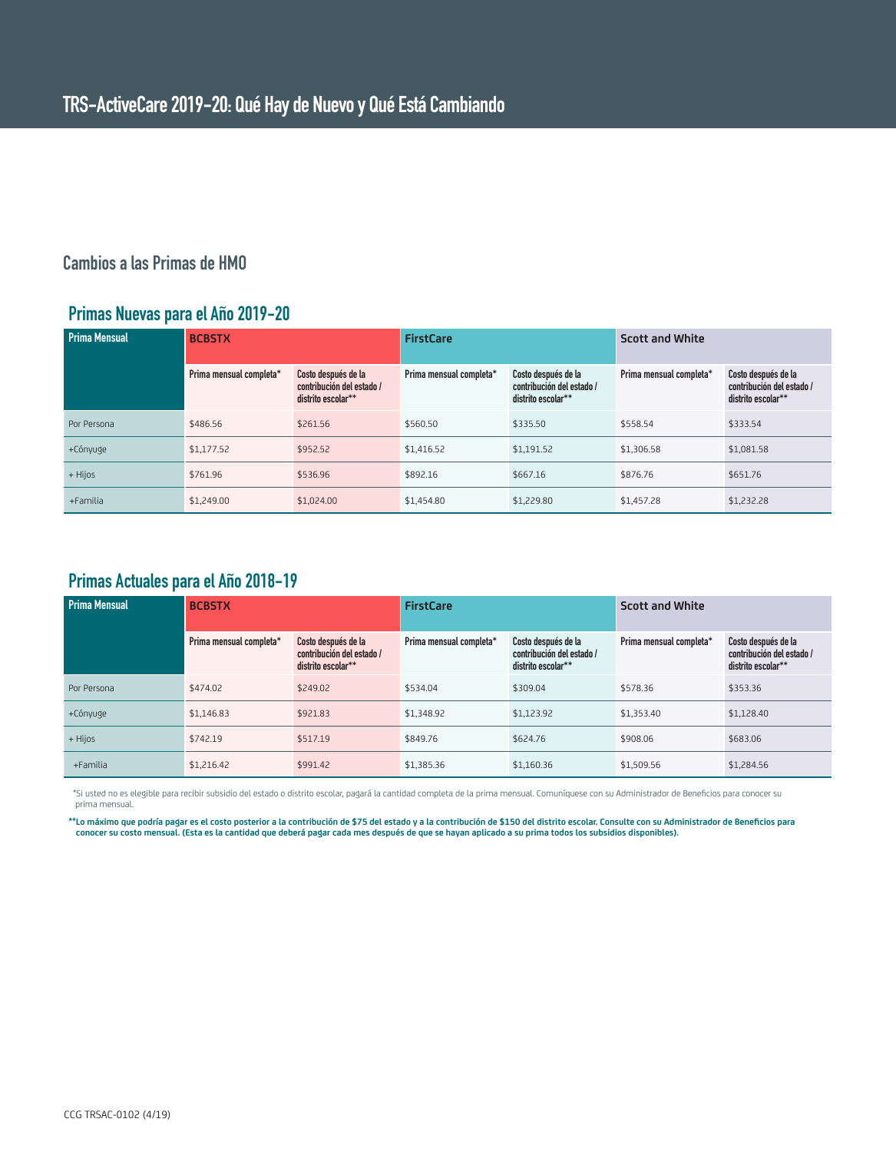### **Cambios a las Primas de HMO**

#### **Primas Nuevas para el Año 2019-20**

| <b>Prima Mensual</b> | <b>BCBSTX</b>           |                                                                        | <b>FirstCare</b>        |                                                                        | <b>Scott and White</b>  |                                                                        |
|----------------------|-------------------------|------------------------------------------------------------------------|-------------------------|------------------------------------------------------------------------|-------------------------|------------------------------------------------------------------------|
|                      | Prima mensual completa* | Costo después de la<br>contribución del estado /<br>distrito escolar** | Prima mensual completa* | Costo después de la<br>contribución del estado /<br>distrito escolar** | Prima mensual completa* | Costo después de la<br>contribución del estado /<br>distrito escolar** |
| Por Persona          | \$486.56                | \$261.56                                                               | \$560.50                | \$335.50                                                               | \$558.54                | \$333.54                                                               |
| +Cónyuge             | \$1,177.52              | \$952.52                                                               | \$1,416.52              | \$1,191.52                                                             | \$1,306.58              | \$1,081.58                                                             |
| + Hijos              | \$761.96                | \$536.96                                                               | \$892.16                | \$667.16                                                               | \$876.76                | \$651.76                                                               |
| +Familia             | \$1,249.00              | \$1,024.00                                                             | \$1,454.80              | \$1,229.80                                                             | \$1,457.28              | \$1,232.28                                                             |

### **Primas Actuales para el Año 2018-19**

| <b>Prima Mensual</b> | <b>BCBSTX</b>           |                                                                        | <b>FirstCare</b>        |                                                                        | <b>Scott and White</b>  |                                                                        |
|----------------------|-------------------------|------------------------------------------------------------------------|-------------------------|------------------------------------------------------------------------|-------------------------|------------------------------------------------------------------------|
|                      | Prima mensual completa* | Costo después de la<br>contribución del estado /<br>distrito escolar** | Prima mensual completa* | Costo después de la<br>contribución del estado /<br>distrito escolar** | Prima mensual completa* | Costo después de la<br>contribución del estado /<br>distrito escolar** |
| Por Persona          | \$474.02                | \$249.02                                                               | \$534.04                | \$309.04                                                               | \$578.36                | \$353.36                                                               |
| +Cónyuge             | \$1,146.83              | \$921.83                                                               | \$1,348.92              | \$1,123.92                                                             | \$1,353.40              | \$1,128,40                                                             |
| + Hijos              | \$742.19                | \$517.19                                                               | \$849.76                | \$624.76                                                               | \$908.06                | \$683.06                                                               |
| +Familia             | \$1,216.42              | \$991.42                                                               | \$1,385.36              | \$1,160.36                                                             | \$1,509.56              | \$1,284.56                                                             |

 \*Si usted no es elegible para recibir subsidio del estado o distrito escolar, pagará la cantidad completa de la prima mensual. Comuníquese con su Administrador de Beneficios para conocer su prima mensual.

**\*\*Lo máximo que podría pagar es el costo posterior a la contribución de \$75 del estado y a la contribución de \$150 del distrito escolar. Consulte con su Administrador de Beneficios para conocer su costo mensual. (Esta es la cantidad que deberá pagar cada mes después de que se hayan aplicado a su prima todos los subsidios disponibles).**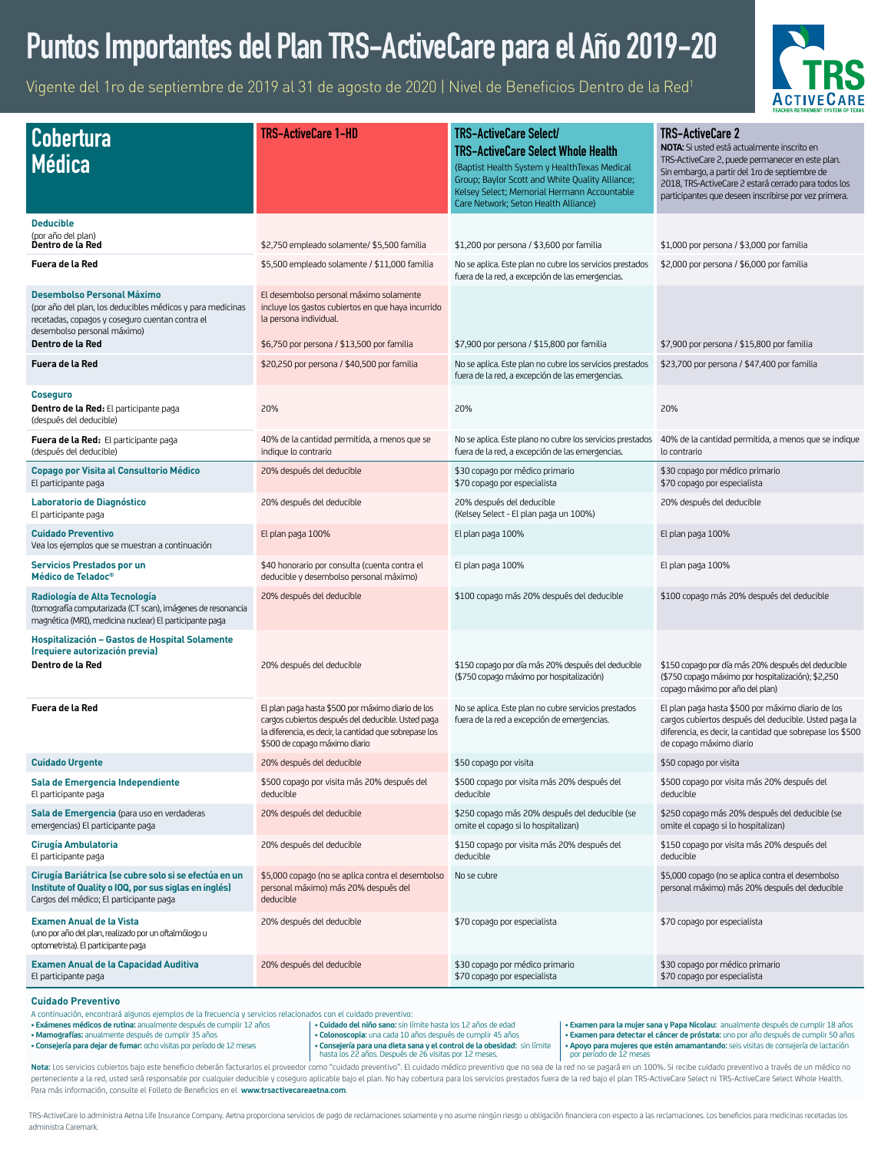## **Puntos Importantes del Plan TRS-ActiveCare para el Año 2019-20**

Vigente del 1ro de septiembre de 2019 al 31 de agosto de 2020 | Nivel de Beneficios Dentro de la Red1



| <b>Cobertura</b><br><b>Médica</b>                                                                                                                                                 | TRS-ActiveCare 1-HD                                                                                                                                                                                | <b>TRS-ActiveCare Select/</b><br><b>TRS-ActiveCare Select Whole Health</b><br>(Baptist Health System y Health Texas Medical<br>Group; Baylor Scott and White Quality Alliance;<br>Kelsey Select; Memorial Hermann Accountable<br>Care Network; Seton Health Alliance) | <b>TRS-ActiveCare 2</b><br>NOTA: Si usted está actualmente inscrito en<br>TRS-ActiveCare 2, puede permanecer en este plan.<br>Sin embargo, a partir del 1ro de septiembre de<br>2018, TRS-ActiveCare 2 estará cerrado para todos los<br>participantes que deseen inscribirse por vez primera. |  |
|-----------------------------------------------------------------------------------------------------------------------------------------------------------------------------------|----------------------------------------------------------------------------------------------------------------------------------------------------------------------------------------------------|-----------------------------------------------------------------------------------------------------------------------------------------------------------------------------------------------------------------------------------------------------------------------|-----------------------------------------------------------------------------------------------------------------------------------------------------------------------------------------------------------------------------------------------------------------------------------------------|--|
| <b>Deducible</b><br>(por año del plan)                                                                                                                                            |                                                                                                                                                                                                    |                                                                                                                                                                                                                                                                       |                                                                                                                                                                                                                                                                                               |  |
| Dentro de la Red                                                                                                                                                                  | \$2,750 empleado solamente/ \$5,500 familia                                                                                                                                                        | \$1,200 por persona / \$3,600 por familia                                                                                                                                                                                                                             | \$1,000 por persona / \$3,000 por familia                                                                                                                                                                                                                                                     |  |
| Fuera de la Red                                                                                                                                                                   | \$5,500 empleado solamente / \$11,000 familia                                                                                                                                                      | No se aplica. Este plan no cubre los servicios prestados<br>fuera de la red, a excepción de las emergencias.                                                                                                                                                          | \$2,000 por persona / \$6,000 por familia                                                                                                                                                                                                                                                     |  |
| <b>Desembolso Personal Máximo</b><br>(por año del plan, los deducibles médicos y para medicinas<br>recetadas, copagos y coseguro cuentan contra el<br>desembolso personal máximo) | El desembolso personal máximo solamente<br>incluye los gastos cubiertos en que haya incurrido<br>la persona individual.                                                                            |                                                                                                                                                                                                                                                                       |                                                                                                                                                                                                                                                                                               |  |
| Dentro de la Red                                                                                                                                                                  | \$6,750 por persona / \$13,500 por familia                                                                                                                                                         | \$7,900 por persona / \$15,800 por familia                                                                                                                                                                                                                            | \$7,900 por persona / \$15,800 por familia                                                                                                                                                                                                                                                    |  |
| Fuera de la Red                                                                                                                                                                   | \$20,250 por persona / \$40,500 por familia                                                                                                                                                        | No se aplica. Este plan no cubre los servicios prestados<br>fuera de la red, a excepción de las emergencias.                                                                                                                                                          | \$23,700 por persona / \$47,400 por familia                                                                                                                                                                                                                                                   |  |
| Coseguro<br>Dentro de la Red: El participante paga<br>(después del deducible)                                                                                                     | 20%                                                                                                                                                                                                | 20%                                                                                                                                                                                                                                                                   | 20%                                                                                                                                                                                                                                                                                           |  |
| Fuera de la Red: El participante paga<br>(después del deducible)                                                                                                                  | 40% de la cantidad permitida, a menos que se<br>indique lo contrario                                                                                                                               | No se aplica. Este plano no cubre los servicios prestados<br>fuera de la red, a excepción de las emergencias.                                                                                                                                                         | 40% de la cantidad permitida, a menos que se indique<br>lo contrario                                                                                                                                                                                                                          |  |
| <b>Copago por Visita al Consultorio Médico</b><br>El participante paga                                                                                                            | 20% después del deducible                                                                                                                                                                          | \$30 copago por médico primario<br>\$70 copago por especialista                                                                                                                                                                                                       | \$30 copago por médico primario<br>\$70 copago por especialista                                                                                                                                                                                                                               |  |
| Laboratorio de Diagnóstico<br>El participante paga                                                                                                                                | 20% después del deducible                                                                                                                                                                          | 20% después del deducible<br>(Kelsey Select - El plan paga un 100%)                                                                                                                                                                                                   | 20% después del deducible                                                                                                                                                                                                                                                                     |  |
| <b>Cuidado Preventivo</b><br>Vea los ejemplos que se muestran a continuación                                                                                                      | El plan paga 100%                                                                                                                                                                                  | El plan paga 100%                                                                                                                                                                                                                                                     | El plan paga 100%                                                                                                                                                                                                                                                                             |  |
| <b>Servicios Prestados por un</b><br>Médico de Teladoc <sup>®</sup>                                                                                                               | \$40 honorario por consulta (cuenta contra el<br>deducible y desembolso personal máximo)                                                                                                           | El plan paga 100%                                                                                                                                                                                                                                                     | El plan paga 100%                                                                                                                                                                                                                                                                             |  |
| Radiología de Alta Tecnología<br>(tomografía computarizada (CT scan), imágenes de resonancia<br>magnética (MRI), medicina nuclear) El participante paga                           | 20% después del deducible                                                                                                                                                                          | \$100 copago más 20% después del deducible                                                                                                                                                                                                                            | \$100 copago más 20% después del deducible                                                                                                                                                                                                                                                    |  |
| Hospitalización – Gastos de Hospital Solamente<br>(requiere autorización previa)                                                                                                  |                                                                                                                                                                                                    |                                                                                                                                                                                                                                                                       |                                                                                                                                                                                                                                                                                               |  |
| Dentro de la Red                                                                                                                                                                  | 20% después del deducible                                                                                                                                                                          | \$150 copago por día más 20% después del deducible<br>(\$750 copago máximo por hospitalización)                                                                                                                                                                       | \$150 copago por día más 20% después del deducible<br>(\$750 copago máximo por hospitalización); \$2,250<br>copago máximo por año del plan)                                                                                                                                                   |  |
| Fuera de la Red                                                                                                                                                                   | El plan paga hasta \$500 por máximo diario de los<br>cargos cubiertos después del deducible. Usted paga<br>la diferencia, es decir, la cantidad que sobrepase los<br>\$500 de copago máximo diario | No se aplica. Este plan no cubre servicios prestados<br>fuera de la red a excepción de emergencias.                                                                                                                                                                   | El plan paga hasta \$500 por máximo diario de los<br>cargos cubiertos después del deducible. Usted paga la<br>diferencia, es decir, la cantidad que sobrepase los \$500<br>de copago máximo diario                                                                                            |  |
| <b>Cuidado Urgente</b>                                                                                                                                                            | 20% después del deducible                                                                                                                                                                          | \$50 copago por visita                                                                                                                                                                                                                                                | \$50 copago por visita                                                                                                                                                                                                                                                                        |  |
| Sala de Emergencia Independiente<br>El participante paga                                                                                                                          | \$500 copago por visita más 20% después del<br>deducible                                                                                                                                           | \$500 copago por visita más 20% después del<br>deducible                                                                                                                                                                                                              | \$500 copago por visita más 20% después del<br>deducible                                                                                                                                                                                                                                      |  |
| Sala de Emergencia (para uso en verdaderas<br>emergencias) El participante paga                                                                                                   | 20% después del deducible                                                                                                                                                                          | \$250 copago más 20% después del deducible (se<br>omite el copago si lo hospitalizan)                                                                                                                                                                                 | \$250 copago más 20% después del deducible (se<br>omite el copago si lo hospitalizan)                                                                                                                                                                                                         |  |
| Cirugía Ambulatoria<br>El participante paga                                                                                                                                       | 20% después del deducible                                                                                                                                                                          | \$150 copago por visita más 20% después del<br>deducible                                                                                                                                                                                                              | \$150 copago por visita más 20% después del<br>deducible                                                                                                                                                                                                                                      |  |
| Cirugía Bariátrica (se cubre solo si se efectúa en un<br>Institute of Quality o IOQ, por sus siglas en inglés)<br>Cargos del médico; El participante paga                         | \$5,000 copago (no se aplica contra el desembolso<br>personal máximo) más 20% después del<br>deducible                                                                                             | No se cubre                                                                                                                                                                                                                                                           | \$5,000 copago (no se aplica contra el desembolso<br>personal máximo) más 20% después del deducible                                                                                                                                                                                           |  |
| <b>Examen Anual de la Vista</b><br>(uno por año del plan, realizado por un oftalmólogo u<br>optometrista). El participante paga                                                   | 20% después del deducible                                                                                                                                                                          | \$70 copago por especialista                                                                                                                                                                                                                                          | \$70 copago por especialista                                                                                                                                                                                                                                                                  |  |
| <b>Examen Anual de la Capacidad Auditiva</b><br>El participante paga                                                                                                              | 20% después del deducible                                                                                                                                                                          | \$30 copago por médico primario<br>\$70 copago por especialista                                                                                                                                                                                                       | \$30 copago por médico primario<br>\$70 copago por especialista                                                                                                                                                                                                                               |  |

#### **Cuidado Preventivo**

A continuación, encontrará algunos ejemplos de la frecuencia y servicios relacionados con el cuidado preventivo:

**• Exámenes médicos de rutina:** anualmente después de cumplir 12 años

**• Mamografías:** anualmente después de cumplir 35 años **• Consejería para dejar de fumar:** ocho visitas por período de 12 meses **• Cuidado del niño sano:** sin límite hasta los 12 años de edad **• Colonoscopia:** una cada 10 años después de cumplir 45 años

**• Consejería para una dieta sana y el control de la obesidad:** sin límite hasta los 22 años. Después de 26 visitas por 12 meses.

**• Examen para la mujer sana y Papa Nicolau:** anualmente después de cumplir 18 años **• Examen para detectar el cáncer de próstata:** uno por año después de cumplir 50 años **• Apoyo para mujeres que estén amamantando:** seis visitas de consejería de lactación por período de 12 meses

Nota: Los servicios cubiertos bajo este beneficio deberán facturarlos el proveedor como "cuidado preventivo". El cuidado médico preventivo que no sea de la red no se pagará en un 100%. Si recibe cuidado preventivo a través perteneciente a la red, usted será responsable por cualquier deducible y coseguro aplicable bajo el plan. No hay cobertura para los servicios prestados fuera de la red bajo el plan TRS-ActiveCare Select ni TRS-ActiveCare S Para más información, consulte el Folleto de Beneficios en el **[www.trsactivecareaetna.com](http://www.trsactivecareaetna.com)**.

TRS-ActiveCare lo administra Aetna Life Insurance Company. Aetna proporciona servicios de pago de reclamaciones solamente y no asume ningún riesgo u obligación financiera con especto a las reclamaciones. Los beneficios par administra Caremark.